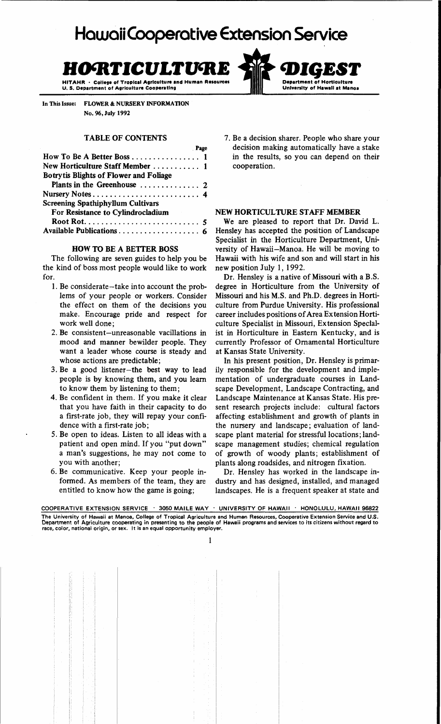# Hawaii Cooperative **Extension Service**

# **HO'RTICULTU'RE 'DIGEST**

College of Tropical Agriculture and Human Resources U. S. Department of Agriculture Cooperating

In This Issue: FLOWER & NURSERY INFORMATION No. 96, July 1992

# TABLE OF CONTENTS

|                                          | Page |
|------------------------------------------|------|
| How To Be A Better Boss  1               |      |
| New Horticulture Staff Member  1         |      |
| Botrytis Blights of Flower and Foliage   |      |
|                                          |      |
|                                          |      |
| <b>Screening Spathiphyllum Cultivars</b> |      |
| For Resistance to Cylindrocladium        |      |
|                                          |      |
| Available Publications  6                |      |
|                                          |      |

#### HOW TO BE A BETTER BOSS

The following are seven guides to help you be the kind of boss most people would like to work for.

- 1. Be considerate-take into account the problems of your people or workers. Consider the effect on them of the decisions you make. Encourage pride and respect for work well done;
- 2. Be consistent-unreasonable vacillations in mood and manner bewilder people. They want a leader whose course is steady and whose actions are predictable;
- 3. Be a good listener-the best way to lead people is by knowing them, and you learn to know them by listening to them;
- 4. Be confident in them. If you make it clear that you have faith in their capacity to do a first-rate job, they will repay your confidence with a first-rate job;
- 5. Be open to ideas. Listen to all ideas with a patient and open mind. If you "put down" a man's suggestions, he may not come to you with another;
- 6. Be communicative. Keep your people informed. As members of the team, they are entitled to know how the game is going;

7. Be a decision sharer. People who share your decision making automatically have a stake in the results, so you can depend on their cooperation.

Department of Horticulture University of HawaII at Manoa

## NEW HORTICULTURE STAFF MEMBER

We are pleased to report that Dr. David L. Hensley has accepted the position of Landscape Specialist in the Horticulture Department, University of Hawaii-Manoa. He will be moving to Hawaii with his wife and son and will start in his new position July 1, 1992.

Dr. Hensley is a native of Missouri with a B.S. degree in Horticulture from the University of Missouri and his M.S. and Ph.D. degrees in Horticulture from Purdue University. His professional career includes positions of Area Extension Horticulture Specialist in Missouri, Extension Specialist in Horticulture in Eastern Kentucky, and is currently Professor of Ornamental Horticulture at Kansas State University.

In his present position, Dr. Hensley is primarily responsible for the development and implementation of undergraduate courses in Landscape Development, Landscape Contracting, and Landscape Maintenance at Kansas State. His present research projects include: cultural factors affecting establishment and growth of plants in the nursery and landscape; evaluation of landscape plant material for stressful locations; landscape management studies; chemical regulation of growth of woody plants; establishment of plants along roadsides, and nitrogen fixation.

Dr. Hensley has worked in the landscape industry and has designed, installed, and managed landscapes. He is a frequent speaker at state and

COOPERATIVE EXTENSION SERVICE . 3050 MAILE WAY . UNIVERSITY OF HAWAII . HONOLULU, HAWAII 96822 The University of Hawaii at Manoa, College of Tropical Agriculture and Human Resources, Cooperative Extension Service and U.S.<br>Department of Agriculture cooperating in presenting to the people of Hawaii programs and servic

I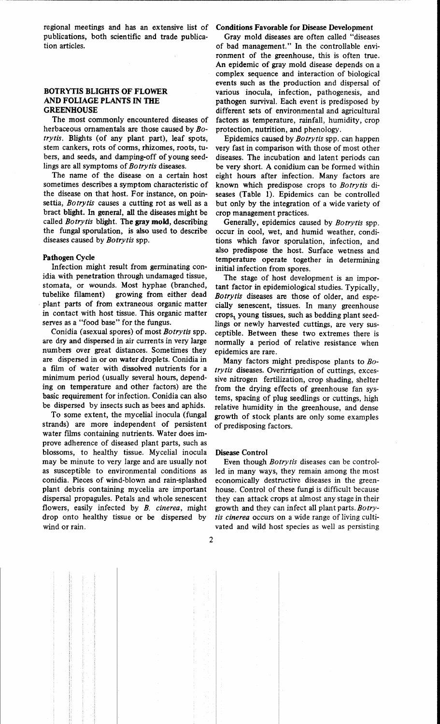regional meetings and has an extensive list of publications, both scientific and trade publication articles.

------ ----------------------------------------

### BOTRYTIS BLIGHTS OF FLOWER AND FOLIAGE PLANTS IN THE GREENHOUSE

The most commonly encountered diseases of herbaceous ornamentals are those caused by *Botry tis.* Blights (of any plant part), leaf spots, stem cankers, rots of corms, rhizomes, roots, tubers, and seeds, and damping-off of young seedlings are all symptoms of *Botrytis* diseases.

The name of the disease on a certain host sometimes describes a symptom characteristic of the disease on that host. For instance, on poinsettia, *Botrytis* causes a cutting rot as well as a bract blight. In general, all the diseases might be called *Botrytis* blight. The gray mold, describing the fungal sporulation, is also used to describe diseases caused by *Botrytis* spp.

#### Pathogen Cycle

Infection might result from germinating conidia with penetration through undamaged tissue, stomata, or wounds. Most hyphae (branched, tubelike filament) growing from either dead . plant parts of from extraneous organic matter in contact with host tissue. This organic matter serves as a "food base" for the fungus.

Conidia (asexual spores) of most *Botrytis* spp. are dry and dispersed in air currents in very large numbers over great distances. Sometimes they are dispersed in or on water droplets. Conidia in a film of water with dissolved nutrients for a minimum period (usually several hours, depending on temperature and other factors) are the basic requirement for infection. Conidia can also be dispersed by insects such as bees and aphids.

To some extent, the mycelial inocula (fungal strands) are more independent of persistent water films containing nutrients. Water does improve adherence of diseased plant parts, such as blossoms, to healthy tissue. Mycelial inocula may be minute to very large and are usually not as susceptible to environmental conditions as conidia. Pieces of wind-blown and rain-splashed plant debris containing mycelia are important dispersal propagules. Petals and whole senescent flowers, easily infected by *B. cinerea,* might drop onto healthy tissue or be dispersed by wind or rain.

#### Conditions Favorable for Disease Development

Gray mold diseases are often called "diseases of bad management." In the controllable environment of the greenhouse, this is often true. An epidemic of gray mold disease depends on a complex sequence and interaction of biological events such as the production and dispersal of various inocula, infection, pathogenesis, and pathogen survival. Each event is predisposed by different sets of environmental and agricultural factors as temperature, rainfall, humidity, crop protection, nutrition, and phenology.

Epidemics caused by *Botrytis* spp. can happen very fast in comparison with those of most other diseases. The incubation and latent periods can be very short. A conidium can be formed within eight hours after infection. Many factors are known which predispose crops to *Botrytis* diseases (Table 1). Epidemics can be controlled but only by the integration of a wide variety of crop management practices.

Generally, epidemics caused by *Botrytis* spp. occur in cool, wet, and humid weather, conditions which favor sporulation, infection, and also predispose the host. Surface wetness and temperature operate together in determining initial infection from spores.

The stage of host development is an important factor in epidemiological studies. Typically, *Botrytis* diseases are those of older, and especially senescent, tissues. In many greenhouse crops, young tissues, such as bedding plant seedlings or newly harvested cuttings, are very susceptible. Between these two extremes there is normally a period of relative resistance when epidemics are rare.

Many factors might predispose plants to *Botry tis* diseases. Overirrigation of cuttings, excessive nitrogen fertilization, crop shading, shelter from the drying effects of greenhouse fan systems, spacing of plug seedlings or cuttings, high relative humidity in the greenhouse, and dense growth of stock plants are only some examples of predisposing factors.

#### Disease Control

Even though *Botrytis* diseases can be controlled in many ways, they remain among the most economically destructive diseases in the greenhouse. Control of these fungi is difficult because they can attack crops at almost any stage in their growth and they can infect all plant parts. *Botrytis cinerea* occurs on a wide range of living cultivated and wild host species as well as persisting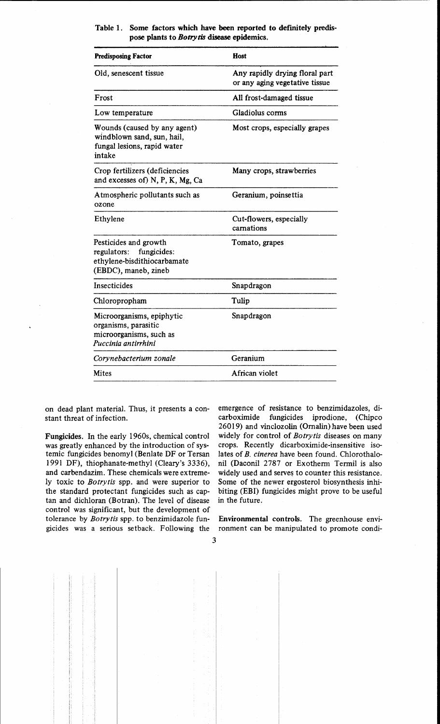# Table 1. Some factors which have been reported to definitely predispose plants to *Botrytis* disease epidemics.

| <b>Predisposing Factor</b>                                                                                 | Host                                                             |
|------------------------------------------------------------------------------------------------------------|------------------------------------------------------------------|
| Old, senescent tissue                                                                                      | Any rapidly drying floral part<br>or any aging vegetative tissue |
| Frost                                                                                                      | All frost-damaged tissue                                         |
| Low temperature                                                                                            | Gladiolus corms                                                  |
| Wounds (caused by any agent)<br>windblown sand, sun, hail,<br>fungal lesions, rapid water<br>intake        | Most crops, especially grapes                                    |
| Crop fertilizers (deficiencies<br>and excesses of) N, P, K, Mg, Ca                                         | Many crops, strawberries                                         |
| Atmospheric pollutants such as<br>ozone                                                                    | Geranium, poinsettia                                             |
| Ethylene                                                                                                   | Cut-flowers, especially<br>carnations                            |
| Pesticides and growth<br>fungicides:<br>regulators:<br>ethylene-bisdithiocarbamate<br>(EBDC), maneb, zineb | Tomato, grapes                                                   |
| Insecticides                                                                                               | Snapdragon                                                       |
| Chloropropham                                                                                              | Tulip                                                            |
| Microorganisms, epiphytic<br>organisms, parasitic<br>microorganisms, such as<br>Puccinia antirrhini        | Snapdragon                                                       |
| Corynebacterium zonale                                                                                     | Geranium                                                         |
| <b>Mites</b>                                                                                               | African violet                                                   |

on dead plant material. Thus, it presents a constant threat of infection.

Fungicides. In the early 1960s, chemical control was greatly enhanced by the introduction of systemic fungicides benomyl (Benlate OF or Tersan 1991 OF), thiophanate-methyl (Cleary's 3336), and carbendazim. These chemicals were extremely toxic to *Botrytis* spp. and were superior to the standard protectant fungicides such as captan and dichloran (Botran). The level of disease control was significant, but the development of tolerance by *Botrytis* spp. to benzimidazole fungicides was a serious setback. Following the

emergence of resistance to benzimidazoles, dicarboximide fungicides iprodione, (Chipco 26019) and vinclozolin (Ornalin) have been used widely for control of *Bo try tis* diseases on many crops. Recently dicarboximide-insensitive isolates of *B. cinerea* have been found. Chlorothalonil (Daconil 2787 or Exotherm Termil is also widely used and serves to counter this resistance. Some of the newer ergosterol biosynthesis inhibiting (EBI) fungicides might prove to be useful in the future.

Environmental controls. The greenhouse environment can be manipulated to promote condi-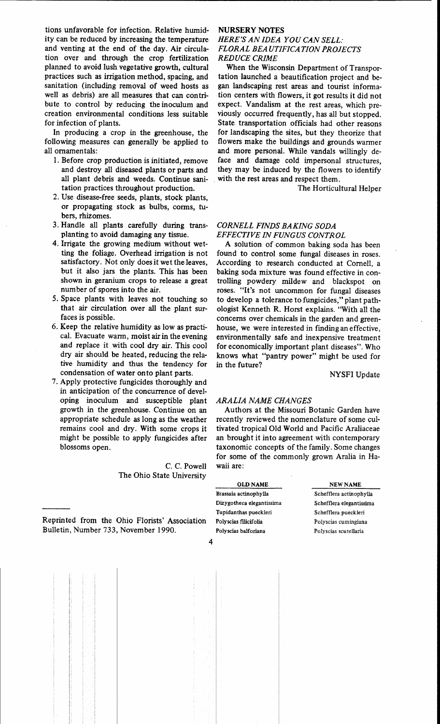tions unfavorable for infection. Relative humidity can be reduced by increasing the temperature and venting at the end of the day. Air circulation over and through the crop fertilization planned to avoid lush vegetative growth, cultural practices such as irrigation method, spacing, and sanitation (including removal of weed hosts as well as debris) are all measures that can contribute to control by reducing the inoculum and creation environmental conditions less suitable for infection of plants.

In producing a crop in the greenhouse, the following measures can generally be applied to all ornamentals:

- 1. Before crop production is initiated, remove and destroy all diseased plants or parts and all plant debris and weeds. Continue sanitation practices throughout production.
- 2. Use disease-free seeds, plants, stock plants, or propagating stock as bulbs, corms, tubers, rhizomes.
- 3. Handle all plants carefully during transplanting to avoid damaging any tissue.
- 4. Irrigate the growing medium without wetting the foliage. Overhead irrigation is not satisfactory. Not only does it wet the leaves, but it also jars the plants. This has been shown in geranium crops to release a great number of spores into the air.
- 5. Space plants with leaves not touching so that air circulation over all the plant surfaces is possible.
- 6. Keep the relative humidity as low as practical. Evacuate warm, moist air in the evening and replace it with cool dry air. This cool dry air should be heated, reducing the relative humidity and thus the tendency for condensation of water onto plant parts.
- 7. Apply protective fungicides thoroughly and in anticipation of the concurrence of developing inoculum and susceptible plant growth in the greenhouse. Continue on an appropriate schedule as long as the weather remains cool and dry. With some crops it might be possible to apply fungicides after blossoms open.

C. C. Powell The Ohio State University

Reprinted from the Ohio Florists' Association Bulletin, Number 733, November 1990.

# **NURSERY** NOTES

## *HERE'S AN IDEA YOU CAN SELL: FLORAL BEA UTIFICATION PROJECTS REDUCE CRIME*

When the Wisconsin Department of Transportation launched a beautification project and began landscaping rest areas and tourist information centers with flowers, it got results it did not expect. Vandalism at the rest areas, which previously occurred frequently, has all but stopped. State transportation officials had other reasons for landscaping the sites, but they theorize that flowers make the buildings and grounds warmer and more personal. While vandals willingly deface and damage cold impersonal structures, they may be induced by the flowers to identify with the rest areas and respect them.

The Horticultural Helper

### *CORNELL FINDS BAKING SODA EFFECTIVE IN FUNGUS CONTROL*

A solution of common baking soda has been found to control some fungal diseases in roses. According to research conducted at Cornell, a baking soda mixture was found effective in controlling powdery mildew and blackspot on roses. "It's not uncommon for fungal diseases to develop a tolerance to fungicides," plant pathologist Kenneth R. Horst explains. "With all the concerns over chemicals in the garden and greenhouse, we were interested in finding an effective, environmentally safe and inexpensive treatment for economically important plant diseases". Who knows what "pantry power" might be used for in the future?

NYSFI Update

#### *ARALIA NAME CHANGES*

Authors at the Missouri Botanic Garden have recently reviewed the nomenclature of some cultivated tropical Old World and Pacific Araliaceae an brought it into agreement with contemporary taxonomic concepts of the family. Some changes for some of the commonly grown Aralia in Hawaii are:

OLD NAME Brassaia actinophylla Dizygotheca elegantissima Tupidanthas pueckleri Polyscias fllicifolia Polyscias balforiana

NEW NAME Schefflera actinophylla Schefflera elegantissima Schefflera pueckleri Polyscias cumingiana

Polyscias scutellaria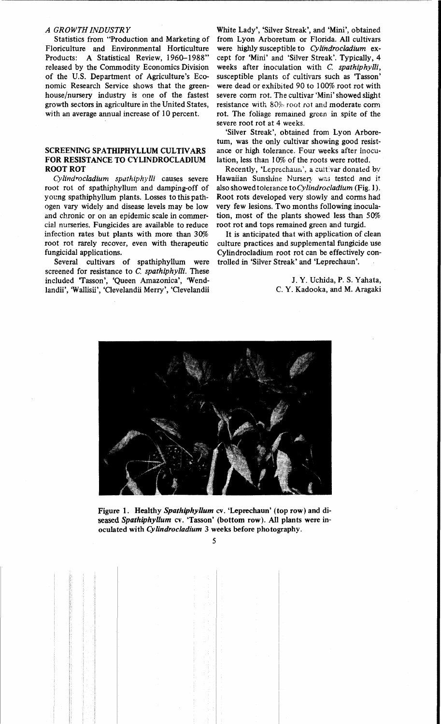### *A GROWTH INDUSTRY*

Statistics from "Production and Marketing of Floriculture and Environmental Horticulture Products: A Statistical Review, 1960-1988" released by the Commodity Economics Division of the U.S. Department of Agriculture's Economic Research Service shows that the greenhouse/nursery industry is one of the fastest growth sectors in agriculture in the United States, with an average annual increase of 10 percent.

# SCREENING SPATHIPHYLLUM CULTIVARS FOR RESISTANCE TO CYLINDROCLADIUM ROOT ROT

Cylindrocladium spathiphylli causes severe root rot of spathiphyllum and damping-off of young spathiphyllum plants. Losses to this pathogen vary widely and disease levels may be low and chronic or on an epidemic scale in commercial nurseries. Fungicides are available to reduce infection rates but plants with more than 30% root rot rarely recover, even with therapeutic fungicidal applications.

Several cultivars of spathiphyllum were screened for resistance to C. *spathiphylli.* These included 'Tasson', 'Queen Amazonica', 'Wendlandii', 'W allisii', 'Clevelandii Merry', 'Clevelandii

White Lady', 'Silver Streak', and 'Mini', obtained from Lyon Arboretum or Florida. All cultivars were highly susceptible to *Cylfndrocladium* except for 'Mini' and 'Silver Streak'. Typically, 4 weeks after inoculation \\ith C. *spathiphylli,*  susceptible plants of cultivars such as 'Tasson' were dead or exhibited 90 to 100% root rot with severe corm rot. The cultivar 'Mini' showed slight resistance with 80% root rot and moderate corm rot. The foliage remained green in spite of the severe root rot at 4 weeks.

'Silver Streak', obtained from Lyon Arboretum, was the only cultivar showing good resistance or high tolerance. Four weeks after inoculation, less than 10% of the roots were rotted.

Recently, 'Leprechaun', a cultivar donated by Hawaiian Sunshine Nursery was tested and it also showed tolerance *toCylindrocladium* (Fig. I). Root rots developed very Slowly and corms had very few lesions. Two months following inoculation, most of the plants showed less than 50% root rot and tops remained green and turgid.

It is anticipated that with application of clean culture practices and supplemental fungicide use Cylindrocladium root rot can be effectively controlled in 'Silver Streak' and 'Leprechaun'.

> J. Y. Uchida, P. S. Yahata, C. Y. Kadooka, and M. Aragaki



Figure 1. Healthy *Spathiphyllum* cv. 'Leprechaun' (top row) and diseased *Spathiphyllum* cv. 'Tasson' (bottom row). All plants were inoculated with *Cylindrocladium* 3 weeks before photography.